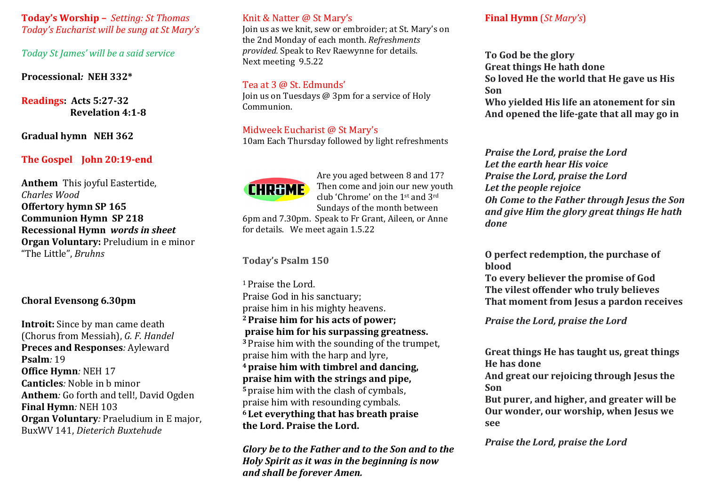**Today's Worship –** *Setting: St Thomas Today's Eucharist will be sung at St Mary's*

*Today St James' will be a said service* 

**Processional***:* **NEH 332\***

**Readings: Acts 5:27-32 Revelation 4:1-8**

**Gradual hymn NEH 362**

# **The Gospel John 20:19-end**

**Anthem** This joyful Eastertide, *Charles Wood* **Offertory hymn SP 165 Communion Hymn SP 218 Recessional Hymn** *words in sheet* **Organ Voluntary:** Preludium in e minor "The Little", *Bruhns*

# **Choral Evensong 6.30pm**

**Introit:** Since by man came death (Chorus from Messiah), *G. F. Handel* **Preces and Responses***:* Ayleward **Psalm***:* 19 **Office Hymn***:* NEH 17 **Canticles***:* Noble in b minor **Anthem***:* Go forth and tell!, David Ogden **Final Hymn***:* NEH 103 **Organ Voluntary***:* Praeludium in E major, BuxWV 141, *Dieterich Buxtehude*

## Knit & Natter @ St Mary's

Join us as we knit, sew or embroider; at St. Mary's on the 2nd Monday of each month. *Refreshments provided.* Speak to Rev Raewynne for details. Next meeting 9.5.22

#### Tea at 3 @ St. Edmunds'

Join us on Tuesdays @ 3pm for a service of Holy Communion.

# Midweek Eucharist @ St Mary's

10am Each Thursday followed by light refreshments

# **CHR&ME**

Are you aged between 8 and 17? Then come and join our new youth club 'Chrome' on the 1st and 3rd Sundays of the month between 6pm and 7.30pm. Speak to Fr Grant, Aileen, or Anne

for details. We meet again 1.5.22

**Today's Psalm 150**

<sup>1</sup> Praise the Lord. Praise God in his sanctuary; praise him in his mighty heavens. **2Praise him for his acts of power; praise him for his surpassing greatness. <sup>3</sup>** Praise him with the sounding of the trumpet, praise him with the harp and lyre, **4praise him with timbrel and dancing, praise him with the strings and pipe, <sup>5</sup>** praise him with the clash of cymbals, praise him with resounding cymbals. **<sup>6</sup> Let everything that has breath praise the Lord. Praise the Lord.**

*Glory be to the Father and to the Son and to the Holy Spirit as it was in the beginning is now and shall be forever Amen.* 

# **Final Hymn** (*St Mary's*)

**To God be the glory Great things He hath done So loved He the world that He gave us His Son Who yielded His life an atonement for sin**

**And opened the life-gate that all may go in**

*Praise the Lord, praise the Lord Let the earth hear His voice Praise the Lord, praise the Lord Let the people rejoice Oh Come to the Father through Jesus the Son and give Him the glory great things He hath done*

**O perfect redemption, the purchase of blood**

**To every believer the promise of God The vilest offender who truly believes That moment from Jesus a pardon receives**

*Praise the Lord, praise the Lord*

**Great things He has taught us, great things He has done**

**And great our rejoicing through Jesus the Son**

**But purer, and higher, and greater will be Our wonder, our worship, when Jesus we see**

*Praise the Lord, praise the Lord*